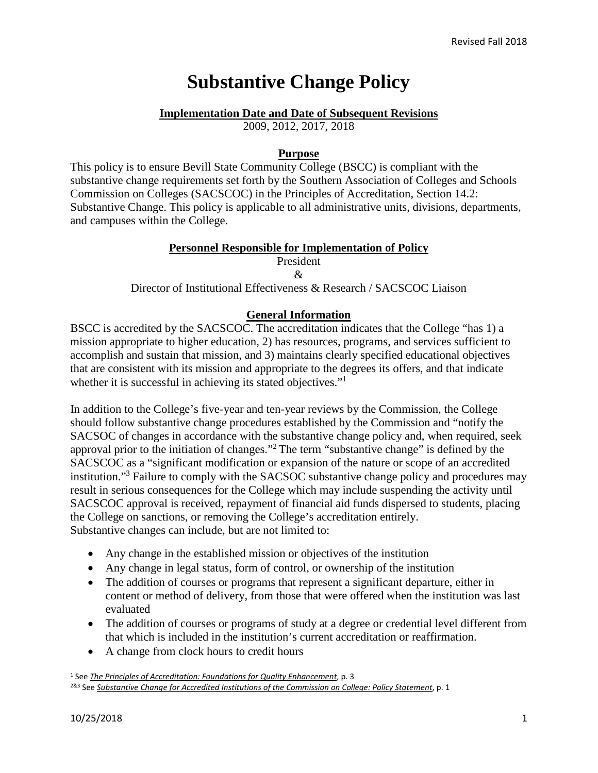# **Substantive Change Policy**

#### **Implementation Date and Date of Subsequent Revisions**

2009, 2012, 2017, 2018

#### **Purpose**

This policy is to ensure Bevill State Community College (BSCC) is compliant with the substantive change requirements set forth by the Southern Association of Colleges and Schools Commission on Colleges (SACSCOC) in the Principles of Accreditation, Section 14.2: Substantive Change. This policy is applicable to all administrative units, divisions, departments, and campuses within the College.

#### **Personnel Responsible for Implementation of Policy**

## President

 $\mathcal{R}_{\mathcal{L}}$ 

Director of Institutional Effectiveness & Research / SACSCOC Liaison

## **General Information**

BSCC is accredited by the SACSCOC. The accreditation indicates that the College "has 1) a mission appropriate to higher education, 2) has resources, programs, and services sufficient to accomplish and sustain that mission, and 3) maintains clearly specified educational objectives that are consistent with its mission and appropriate to the degrees its offers, and that indicate whether it is successful in achieving its stated objectives."<sup>1</sup>

In addition to the College's five-year and ten-year reviews by the Commission, the College should follow substantive change procedures established by the Commission and "notify the SACSOC of changes in accordance with the substantive change policy and, when required, seek approval prior to the initiation of changes."2 The term "substantive change" is defined by the SACSCOC as a "significant modification or expansion of the nature or scope of an accredited institution."3 Failure to comply with the SACSOC substantive change policy and procedures may result in serious consequences for the College which may include suspending the activity until SACSCOC approval is received, repayment of financial aid funds dispersed to students, placing the College on sanctions, or removing the College's accreditation entirely. Substantive changes can include, but are not limited to:

- Any change in the established mission or objectives of the institution
- Any change in legal status, form of control, or ownership of the institution
- The addition of courses or programs that represent a significant departure, either in content or method of delivery, from those that were offered when the institution was last evaluated
- The addition of courses or programs of study at a degree or credential level different from that which is included in the institution's current accreditation or reaffirmation.
- A change from clock hours to credit hours

<sup>1</sup> See *[The Principles of Accreditation: Foundations for Quality Enhancement](http://www.sacscoc.org/pdf/2018PrinciplesOfAcreditation.pdf)*, p. 3 2&3 See *[Substantive Change for Accredited Institutions of the Commission on College: Policy Statement](http://www.sacscoc.org/pdf/081705/SubstantiveChange.pdf)*, p. 1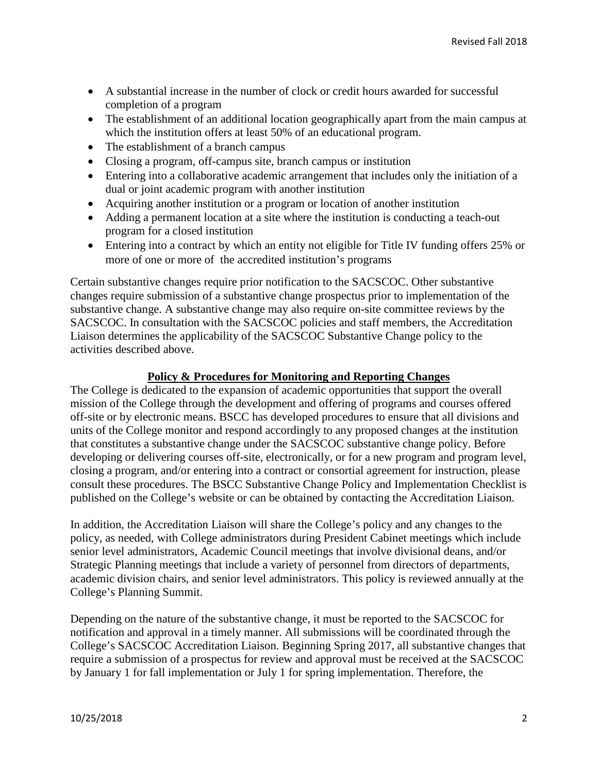- A substantial increase in the number of clock or credit hours awarded for successful completion of a program
- The establishment of an additional location geographically apart from the main campus at which the institution offers at least 50% of an educational program.
- The establishment of a branch campus
- Closing a program, off-campus site, branch campus or institution
- Entering into a collaborative academic arrangement that includes only the initiation of a dual or joint academic program with another institution
- Acquiring another institution or a program or location of another institution
- Adding a permanent location at a site where the institution is conducting a teach-out program for a closed institution
- Entering into a contract by which an entity not eligible for Title IV funding offers 25% or more of one or more of the accredited institution's programs

Certain substantive changes require prior notification to the SACSCOC. Other substantive changes require submission of a substantive change prospectus prior to implementation of the substantive change. A substantive change may also require on-site committee reviews by the SACSCOC. In consultation with the SACSCOC policies and staff members, the Accreditation Liaison determines the applicability of the SACSCOC Substantive Change policy to the activities described above.

## **Policy & Procedures for Monitoring and Reporting Changes**

The College is dedicated to the expansion of academic opportunities that support the overall mission of the College through the development and offering of programs and courses offered off-site or by electronic means. BSCC has developed procedures to ensure that all divisions and units of the College monitor and respond accordingly to any proposed changes at the institution that constitutes a substantive change under the SACSCOC substantive change policy. Before developing or delivering courses off-site, electronically, or for a new program and program level, closing a program, and/or entering into a contract or consortial agreement for instruction, please consult these procedures. The BSCC Substantive Change Policy and Implementation Checklist is published on the College's website or can be obtained by contacting the Accreditation Liaison.

In addition, the Accreditation Liaison will share the College's policy and any changes to the policy, as needed, with College administrators during President Cabinet meetings which include senior level administrators, Academic Council meetings that involve divisional deans, and/or Strategic Planning meetings that include a variety of personnel from directors of departments, academic division chairs, and senior level administrators. This policy is reviewed annually at the College's Planning Summit.

Depending on the nature of the substantive change, it must be reported to the SACSCOC for notification and approval in a timely manner. All submissions will be coordinated through the College's SACSCOC Accreditation Liaison. Beginning Spring 2017, all substantive changes that require a submission of a prospectus for review and approval must be received at the SACSCOC by January 1 for fall implementation or July 1 for spring implementation. Therefore, the